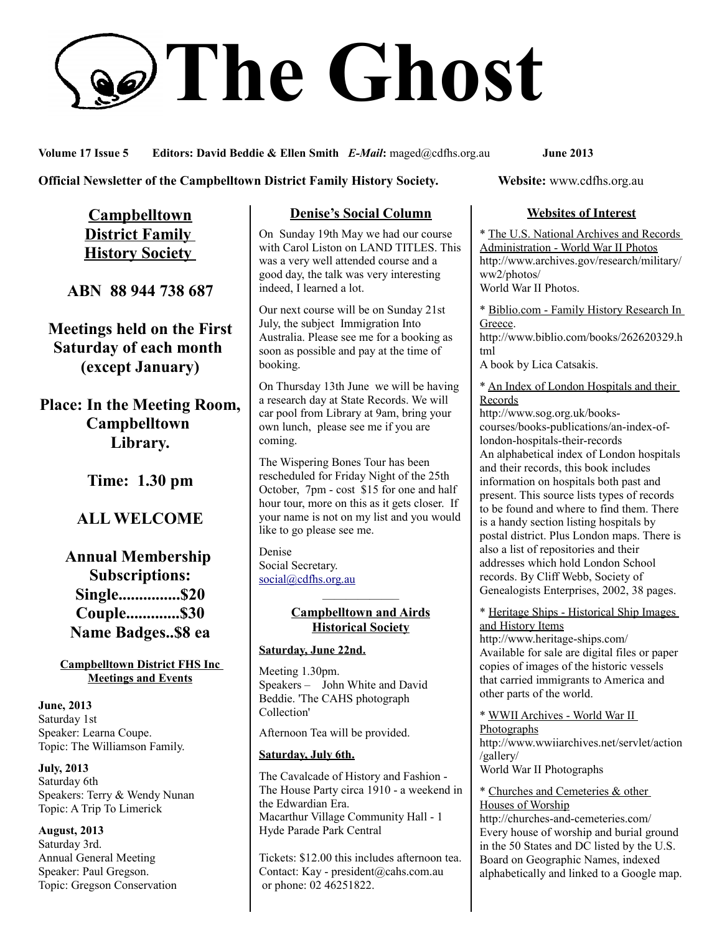# **The Ghost**

**Volume 17 Issue 5 Editors: David Beddie & Ellen Smith** *E-Mail***:** maged@cdfhs.org.au **June 2013**

**Official Newsletter of the Campbelltown District Family History Society. Website: www.cdfhs.org.au** 

**Campbelltown District Family History Society** 

**ABN 88 944 738 687**

**Meetings held on the First Saturday of each month (except January)**

**Place: In the Meeting Room, Campbelltown Library.**

**Time: 1.30 pm**

## **ALL WELCOME**

**Annual Membership Subscriptions: Single...............\$20 Couple.............\$30 Name Badges..\$8 ea**

**Campbelltown District FHS Inc Meetings and Events**

**June, 2013** Saturday 1st Speaker: Learna Coupe. Topic: The Williamson Family.

**July, 2013** Saturday 6th Speakers: Terry & Wendy Nunan Topic: A Trip To Limerick

**August, 2013** Saturday 3rd. Annual General Meeting Speaker: Paul Gregson. Topic: Gregson Conservation

## **Denise's Social Column**

On Sunday 19th May we had our course with Carol Liston on LAND TITLES. This was a very well attended course and a good day, the talk was very interesting indeed, I learned a lot.

Our next course will be on Sunday 21st July, the subject Immigration Into Australia. Please see me for a booking as soon as possible and pay at the time of booking.

On Thursday 13th June we will be having a research day at State Records. We will car pool from Library at 9am, bring your own lunch, please see me if you are coming.

The Wispering Bones Tour has been rescheduled for Friday Night of the 25th October, 7pm - cost \$15 for one and half hour tour, more on this as it gets closer. If your name is not on my list and you would like to go please see me.

Denise Social Secretary. [social@cdfhs.org.au](mailto:social@cdfhs.org.au)

#### ——————– **Campbelltown and Airds Historical Society**

## **Saturday, June 22nd.**

Meeting 1.30pm. Speakers – John White and David Beddie. 'The CAHS photograph Collection'

Afternoon Tea will be provided.

## **Saturday, July 6th.**

The Cavalcade of History and Fashion - The House Party circa 1910 - a weekend in the Edwardian Era. Macarthur Village Community Hall - 1 Hyde Parade Park Central

Tickets: \$12.00 this includes afternoon tea. Contact: Kay - president@cahs.com.au or phone: 02 46251822.

## **Websites of Interest**

\* The U.S. National Archives and Records Administration - World War II Photos http://www.archives.gov/research/military/ ww2/photos/ World War II Photos.

\* Biblio.com - Family History Research In Greece. http://www.biblio.com/books/262620329.h tml

A book by Lica Catsakis.

\* An Index of London Hospitals and their Records

http://www.sog.org.uk/bookscourses/books-publications/an-index-oflondon-hospitals-their-records An alphabetical index of London hospitals and their records, this book includes information on hospitals both past and present. This source lists types of records to be found and where to find them. There is a handy section listing hospitals by postal district. Plus London maps. There is also a list of repositories and their addresses which hold London School records. By Cliff Webb, Society of Genealogists Enterprises, 2002, 38 pages.

\* Heritage Ships - Historical Ship Images and History Items

http://www.heritage-ships.com/ Available for sale are digital files or paper copies of images of the historic vessels that carried immigrants to America and other parts of the world.

\* WWII Archives - World War II Photographs http://www.wwiiarchives.net/servlet/action /gallery/ World War II Photographs

\* Churches and Cemeteries & other Houses of Worship http://churches-and-cemeteries.com/

Every house of worship and burial ground in the 50 States and DC listed by the U.S. Board on Geographic Names, indexed alphabetically and linked to a Google map.